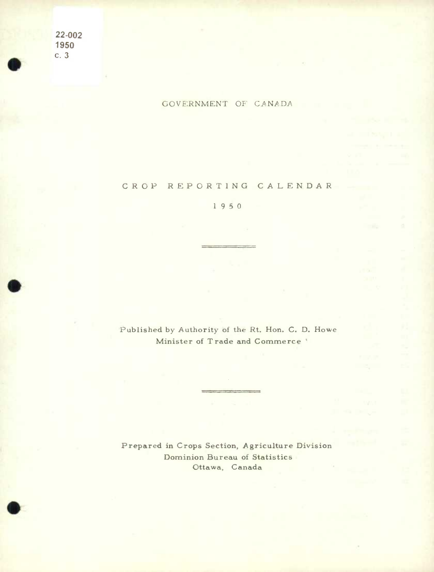**22-002 1950**   $c.3$ 

**•** 

**.** 

0

## GOVERNMENT OF CANADA

**CROP REPORTING CALENDAR** 

**1950** 

Published by Authority of the Rt. Hon. C. D. Howe **Minister of Trade and Commerce** 

**Prepared in Crops Section, Agriculture Division Dominion Bureau of Statistics Ottawa, Canada**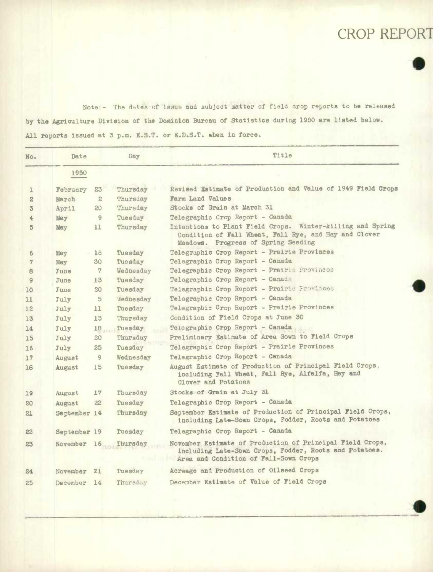## CROP REPORT

 $\bullet$ 

.

.

Note:- The dates of issue and subject matter of field crop reports to be released by the Agriculture Division of the Dominion Bureau of Statistics during 1950 are listed below. All reports issued at 3 p.m. E.S.T. or E.D.S.T. when **in force.** 

| No.          | Date         |              | Day       | Title                                                                                                                                                        |
|--------------|--------------|--------------|-----------|--------------------------------------------------------------------------------------------------------------------------------------------------------------|
|              | 1950         |              |           |                                                                                                                                                              |
| ı            | February     | 23           | Thursday  | Revised Estimate of Production and Value of 1949 Field Crops                                                                                                 |
| $\mathbf{z}$ | March        | $\mathbf{2}$ | Thursday  | Farm Land Values                                                                                                                                             |
| 3            | April        | 20           | Thursday  | Stocks of Grain at March 31                                                                                                                                  |
| 4            | May          | 9            | Tuesday   | Telegraphic Crop Report - Canada                                                                                                                             |
| 5            | May          | 11           | Thursday  | Intentions to Plant Field Crops. Winter-killing and Spring<br>Condition of Fall Wheat, Fall Rye, and Hay and Clover<br>Meadows. Progress of Spring Seeding   |
| 6            | May          | 16           | Tuesday   | Telegraphic Crop Report - Prairie Provinces                                                                                                                  |
| 7            | May          | 30           | Tuesday   | Telegraphic Crop Report - Canada                                                                                                                             |
| 8            | June         | 7            | Wednesday | Telegraphic Crop Report - Prairie Provinces                                                                                                                  |
| 9            | June         | 13           | Tuesday   | Telegraphic Crop Report - Canada                                                                                                                             |
| 10           | June         | 20           | Tuesday   | Telegraphic Crop Report - Prairie Provinces                                                                                                                  |
| 11           | July         | 5            | Wednesday | Telegraphic Crop Report - Canada                                                                                                                             |
| 12           | July         | 11           | Tuesday   | Telegraphic Crop Report - Prairie Provinces                                                                                                                  |
| 13           | July         | 13           | Thursday  | Condition of Field Crops at June 30                                                                                                                          |
| 14           | July         | 18           | Tuesday   | Telegraphic Crop Report - Canada                                                                                                                             |
| 15           | July         | 20           | Thursday  | Preliminary Estimate of Area Sown to Field Crops                                                                                                             |
| 16           | July         | 25           | Tuesday   | Telegraphic Crop Report - Prairie Provinces                                                                                                                  |
| 17           | August       | 9            | Wednesday | Telegraphic Crop Report - Canada                                                                                                                             |
| 18           | August       | 15           | Tuesday   | August Estimate of Production of Principal Field Crops,<br>including Fall Wheat, Fall Rye, Alfalfa, Hay and<br>Clover and Potatoes                           |
| 19           | August       | 17           | Thursday  | Stocks of Grain at July 31                                                                                                                                   |
| 20           | August       | 22           | Tuesday   | Telegraphic Crop Report - Canada                                                                                                                             |
| 21           | September 14 |              | Thursday  | September Estimate of Production of Principal Field Crops,<br>including Late-Sown Crops, Fodder, Roots and Potatoes                                          |
| 22           | September 19 |              | Tuesday   | Telegraphic Crop Report - Canada                                                                                                                             |
| 23           | November     | 16           | Thursday  | November Estimate of Production of Principal Field Crops,<br>including Late-Sown Crops, Fodder, Roots and Potatoes.<br>Area and Condition of Fall-Sown Crops |
| 24           | November     | 21           | Tuesday   | Acreage and Production of Oilseed Crops                                                                                                                      |
| 25           | December     | 14           | Thursday  | December Estimate of Value of Field Crops                                                                                                                    |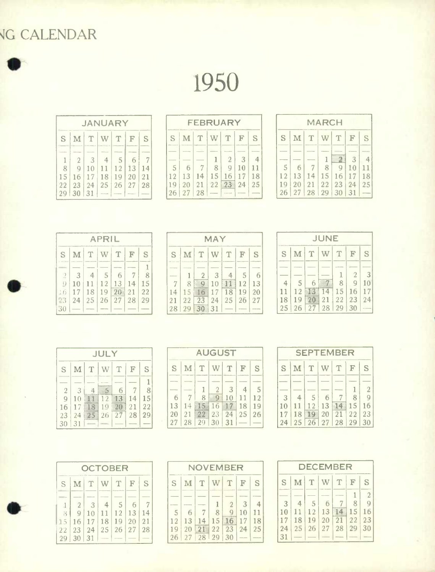## G CALENDAR

1950

| <b>JANUARY</b> |          |                |    |               |    |    |  |  |  |  |
|----------------|----------|----------------|----|---------------|----|----|--|--|--|--|
| S              | M        | $\Gamma$       | W  | T             | F  | S  |  |  |  |  |
|                |          |                |    |               |    |    |  |  |  |  |
|                | 2        | $\overline{3}$ |    | $\mathcal{S}$ | 6  |    |  |  |  |  |
| 8              | Q        | 10             | 11 | 12            | 13 | 14 |  |  |  |  |
| 15             | 16       | 17             | 18 | 19            | 20 | 21 |  |  |  |  |
| 22             | 23       | 24             | 25 | 26            | 27 | 28 |  |  |  |  |
|                | 29 30 31 |                |    |               |    |    |  |  |  |  |

| <b>FEBRUARY</b> |    |               |    |    |    |    |  |  |
|-----------------|----|---------------|----|----|----|----|--|--|
| S               | M  | T             | W  | T  | F  | S  |  |  |
|                 |    |               |    |    |    |    |  |  |
|                 |    |               |    | 2  | З  |    |  |  |
| 5               | 6  |               | 8  | Q  | 10 | 11 |  |  |
| 12              | 13 | 14            | 15 | 16 | 17 | 18 |  |  |
| 19              | 20 | 21            | 22 | ्र | 24 | 25 |  |  |
| 26              | 27 | $\frac{28}{}$ |    |    |    |    |  |  |

| <b>MARCH</b> |             |    |    |    |    |    |  |  |  |  |
|--------------|-------------|----|----|----|----|----|--|--|--|--|
| S            | $\mathbf M$ | T  | W  | T  | F  | S  |  |  |  |  |
|              |             |    |    |    | 3  |    |  |  |  |  |
| 5            | 6           |    | 8  | q  | 10 | 11 |  |  |  |  |
| 12           | 13          | 14 | 15 | 16 | 17 | 18 |  |  |  |  |
| 19           | 20          | 21 | 22 | 23 | 24 | 25 |  |  |  |  |
| 26           | 27          | 28 | 29 | 30 | 31 |    |  |  |  |  |

|                   | <b>APRIL</b>   |    |                |    |             |    |  |
|-------------------|----------------|----|----------------|----|-------------|----|--|
| S                 | M <sub>1</sub> | T  | W              | T  | $\mathbf F$ | S  |  |
| <b>STATISTICS</b> |                |    |                |    |             | 1  |  |
| $\sum_{k=1}^{n}$  | 3              |    | $\overline{5}$ | 6  |             |    |  |
| 0                 | 10             | 11 | 12             | 13 | 14          | 15 |  |
| 6                 | 17             | 18 | 19             | 20 | 21          | 22 |  |
| 23                | $24^{2}$       | 25 | 26             | 27 | 28          | 29 |  |
| 30                |                |    |                |    |             |    |  |

| MAY   |    |    |                |    |               |    |  |  |  |
|-------|----|----|----------------|----|---------------|----|--|--|--|
| S     |    | T  | W.             | T  | F             | S  |  |  |  |
|       |    |    | $\overline{3}$ |    | $\mathcal{S}$ | 6  |  |  |  |
|       | 8  |    | 10             |    | 12            | 13 |  |  |  |
| 14    | 15 |    | 17             | 18 | 19            | 20 |  |  |  |
| 21    | 22 | 23 | 24             | 25 | 26            | 27 |  |  |  |
| 28 29 |    |    | 31             |    |               |    |  |  |  |

|    | JUNE |   |       |    |    |    |  |  |  |  |  |
|----|------|---|-------|----|----|----|--|--|--|--|--|
| S  | M    | Υ |       | Υ  | F  | S  |  |  |  |  |  |
|    |      |   |       | 1  | 2  | 3  |  |  |  |  |  |
|    | 5    | 6 |       | 8  | Q  | 10 |  |  |  |  |  |
| 11 | 12   |   | 14    | 15 | 16 | 17 |  |  |  |  |  |
| 18 | 19   |   | 21    | 22 | 23 | 24 |  |  |  |  |  |
| 25 | 26   |   | 27 28 | 29 | 30 |    |  |  |  |  |  |

| <b>JULY</b>    |    |                |    |    |    |    |  |  |  |  |
|----------------|----|----------------|----|----|----|----|--|--|--|--|
| S              | M  | T              | W  | T  | F  | S  |  |  |  |  |
|                |    |                |    |    |    |    |  |  |  |  |
| $\overline{2}$ | 3  |                |    |    |    | 8  |  |  |  |  |
| $\overline{9}$ | 10 |                | 12 | 13 | 14 | 15 |  |  |  |  |
| 16             | 17 | 1 <sup>2</sup> | 19 | 20 | 21 | 22 |  |  |  |  |
| 23             | 24 | 25             | 26 | 27 | 28 | 29 |  |  |  |  |
| 30             | 31 |                |    |    |    |    |  |  |  |  |

|    | <b>AUGUST</b> |    |    |    |    |    |  |  |  |  |
|----|---------------|----|----|----|----|----|--|--|--|--|
| S  | М             | T  | W  | T  | F  | S  |  |  |  |  |
|    |               |    |    |    |    |    |  |  |  |  |
|    |               |    |    | 3  |    | 5  |  |  |  |  |
| 6  |               | 8  | Ö  | 10 | 11 | 12 |  |  |  |  |
| 13 | 14            | 15 | 16 |    | 18 | 19 |  |  |  |  |
| 20 | 21            | 22 | 23 | 24 | 25 | 26 |  |  |  |  |
| 27 | 28            | 29 | 30 | 31 |    |    |  |  |  |  |

| <b>SEPTEMBER</b> |    |              |                      |    |    |                |  |  |  |  |
|------------------|----|--------------|----------------------|----|----|----------------|--|--|--|--|
| S                | М  | T            |                      | T  | F  | S              |  |  |  |  |
|                  |    |              |                      |    |    |                |  |  |  |  |
|                  |    |              |                      |    |    | $\overline{2}$ |  |  |  |  |
| 3                |    | $\mathsf{S}$ | 6                    |    | 8  |                |  |  |  |  |
| 10               | 11 | 12           | 13                   |    | 15 | 16             |  |  |  |  |
| 17               | 18 |              | 20                   | 21 | 22 | 23             |  |  |  |  |
| 24               | 25 |              | $26 \mid 27 \mid 28$ |    | 29 | 30             |  |  |  |  |

| <b>OCTOBER</b>  |                |       |    |    |    |             |  |  |  |
|-----------------|----------------|-------|----|----|----|-------------|--|--|--|
| S.              | M              | T     | W  | T  | F  | S           |  |  |  |
|                 |                |       |    |    |    |             |  |  |  |
| $\lceil$        | $\overline{2}$ | 3     |    | 5  |    |             |  |  |  |
| 3               | Q              | 10    | 11 | 12 | 13 | -14         |  |  |  |
| 15              | 16             | 17 18 |    | 19 | 20 | $\sqrt{21}$ |  |  |  |
| 22 <sup>2</sup> | 23             | 24    | 25 | 26 | 27 | 28          |  |  |  |
| 29              | 30 31          |       |    |    |    |             |  |  |  |

.

|    | NOVEMBER |     |    |                |    |    |  |  |  |  |  |  |
|----|----------|-----|----|----------------|----|----|--|--|--|--|--|--|
| S  |          | M/T | W  | T              | F  | S  |  |  |  |  |  |  |
|    |          |     |    |                |    |    |  |  |  |  |  |  |
|    |          |     |    | $\overline{2}$ | 3  |    |  |  |  |  |  |  |
| 5  | 6        |     | 8  | g              | 10 | 11 |  |  |  |  |  |  |
| 12 | 13       | 14  | 15 | 16             | 17 | 18 |  |  |  |  |  |  |
| 19 | 20       | 21  | 22 | 23             | 24 | 25 |  |  |  |  |  |  |
| 26 | 27       | 28  | 29 | 30             |    |    |  |  |  |  |  |  |

|    |    |                |    | <b>DECEMBER</b> |    |                |
|----|----|----------------|----|-----------------|----|----------------|
| S  | M  | T.             | W  | T.              | F  | S              |
|    |    |                |    |                 |    | $\overline{2}$ |
| 3  |    | $\mathfrak{S}$ | 6  |                 | 8  | $\mathbf Q$    |
| 10 | 11 | 12             | 13 |                 | 15 | 16             |
| 17 | 18 | 19             | 20 | 21              | 22 | 23             |
| 24 | 25 | 26             | 27 | 28              | 29 | 30             |
| 31 |    |                |    |                 |    |                |